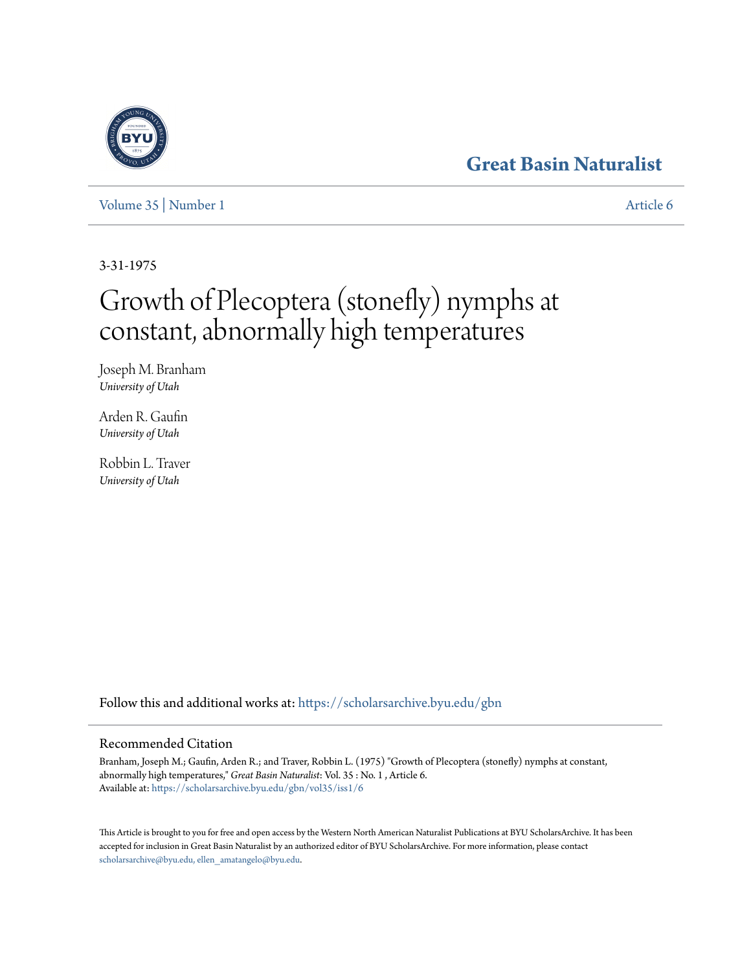## **[Great Basin Naturalist](https://scholarsarchive.byu.edu/gbn?utm_source=scholarsarchive.byu.edu%2Fgbn%2Fvol35%2Fiss1%2F6&utm_medium=PDF&utm_campaign=PDFCoverPages)**

## [Volume 35](https://scholarsarchive.byu.edu/gbn/vol35?utm_source=scholarsarchive.byu.edu%2Fgbn%2Fvol35%2Fiss1%2F6&utm_medium=PDF&utm_campaign=PDFCoverPages) | [Number 1](https://scholarsarchive.byu.edu/gbn/vol35/iss1?utm_source=scholarsarchive.byu.edu%2Fgbn%2Fvol35%2Fiss1%2F6&utm_medium=PDF&utm_campaign=PDFCoverPages) [Article 6](https://scholarsarchive.byu.edu/gbn/vol35/iss1/6?utm_source=scholarsarchive.byu.edu%2Fgbn%2Fvol35%2Fiss1%2F6&utm_medium=PDF&utm_campaign=PDFCoverPages)

3-31-1975

# Growth of Plecoptera (stonefly) nymphs at constant, abnormally high temperatures

Joseph M. Branham *University of Utah*

Arden R. Gaufin *University of Utah*

Robbin L. Traver *University of Utah*

Follow this and additional works at: [https://scholarsarchive.byu.edu/gbn](https://scholarsarchive.byu.edu/gbn?utm_source=scholarsarchive.byu.edu%2Fgbn%2Fvol35%2Fiss1%2F6&utm_medium=PDF&utm_campaign=PDFCoverPages)

## Recommended Citation

Branham, Joseph M.; Gaufin, Arden R.; and Traver, Robbin L. (1975) "Growth of Plecoptera (stonefly) nymphs at constant, abnormally high temperatures," *Great Basin Naturalist*: Vol. 35 : No. 1 , Article 6. Available at: [https://scholarsarchive.byu.edu/gbn/vol35/iss1/6](https://scholarsarchive.byu.edu/gbn/vol35/iss1/6?utm_source=scholarsarchive.byu.edu%2Fgbn%2Fvol35%2Fiss1%2F6&utm_medium=PDF&utm_campaign=PDFCoverPages)

This Article is brought to you for free and open access by the Western North American Naturalist Publications at BYU ScholarsArchive. It has been accepted for inclusion in Great Basin Naturalist by an authorized editor of BYU ScholarsArchive. For more information, please contact [scholarsarchive@byu.edu, ellen\\_amatangelo@byu.edu.](mailto:scholarsarchive@byu.edu,%20ellen_amatangelo@byu.edu)

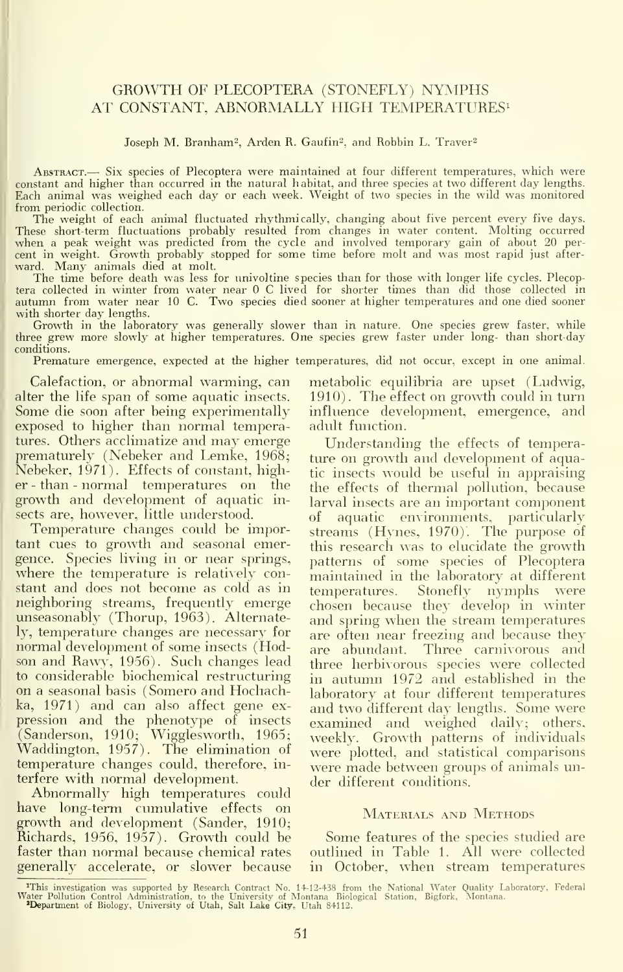### GROWTH OF PLECOPTERA (STONEFLY) NYMPHS AT CONSTANT, ABNORMALLY HIGH TEMPERATURES<sup>1</sup>

#### Joseph M. Branham<sup>2</sup>, Arden R. Gaufin<sup>2</sup>, and Robbin L. Traver<sup>2</sup>

Abstract.— Six species of Plecoptera were maintained at four different temperatures, which were constant and higher than occurred in the natural habitat, and three species at two different day lengths. Each animal was weighed each day or each week. Weight of two species in the wild was monitored

from periodic collection.<br>The weight of each animal fluctuated rhythmically, changing about five percent every five days.<br>These short-term fluctuations probably resulted from changes in water content. Molting occurred<br>when cent in weight. Growth probably stopped for some time before molt and was most rapid just afterward. Many animals died at molt. The time before death was less for univoltine species than for those with longer life cycles. Plecop-

tera collected in winter from water near 0 C lived for shorter times than did those collected in autumn from water near <sup>10</sup> C. Two species died sooner at higher temperatures and one died sooner with shorter day lengths.

Growth in the laboratory was generally slower than in nature. One species grew faster, while three grew more slowly at higher temperatures. One species grew faster under long- than short-day conditions.

Premature emergence, expected at the higher temperatures, did not occur, except in one animal.

Calefaction, or abnormal warming, can alter the life span of some aquatic insects. Some die soon after being experimentally exposed to higher than normal temperatures. Others acclimatize and may emerge prematurely (Nebeker and Lemke, 1968; Nebeker, 1971). Effects of constant, higher - than - normal temperatures on the growth and development of aquatic in sects are, however, little understood.

Temperature changes could be important cues to growth and seasonal emergence. Species living in or near springs, where the temperature is relatively constant and does not become as cold as in temperatures. neighboring streams, frequently emerge unseasonably (Thorup, 1963). Alternately, temperature changes are necessary for normal development of some insects (Hodson and Rawy, 1956). Such changes lead to considerable biochemical restructuring on a seasonal basis (Somero and Hochachka, 1971) and can also affect gene ex-  $\, {\rm pression} \,$  and the phenotype of insects  $\, {\rm ex}$ (Sanderson, 1910; Wigglesworth, 1965; <sub>We</sub> Waddington, 1957). The elimination of temperature changes could, therefore, in terfere with normal development.

Abnormally high temperatures could have long-term cumulative effects on growth and development (Sander, 1910; Richards, 1956, 1957). Growth could be faster than normal because chemical rates generally accelerate, or slower because metabolic equilibria are upset (Ludwig, 1910) . The effect on growth could in turn influence development, emergence, and adult function.

Understanding the effects of temperature on growth and development of aquatic insects would be useful in appraising the effects of thermal pollution, because larval insects are an important component of aquatic environments, particularly streams (Hynes, 1970). The purpose of this research was to elucidate the growth patterns of some species of Plecoptera maintained in the laboratory at different Stonefly nymphs were chosen because they develop in winter and spring when the stream temperatures are often near freezing and because they are abundant. Three carnivorous and three herbivorous species were collected in autumn 1972 and established in the laboratory at four different temperatures and two different day lengths. Some were examined and weighed daily; others, weekly. Growth patterns of individuals were plotted, and statistical comparisons were made between groups of animals under different conditions.

#### MATERIALS AND METHODS

Some features of the species studied are outlined in Table 1. All were collected in October, when stream temperatures

<sup>&</sup>quot;This investigation was supported by Research Contract No. 14-12-438 from the National Water Quality Laboratory, Federal<br>Water Pollution Control Administration, to the University of Montana Biological Station, Bigfork, Mon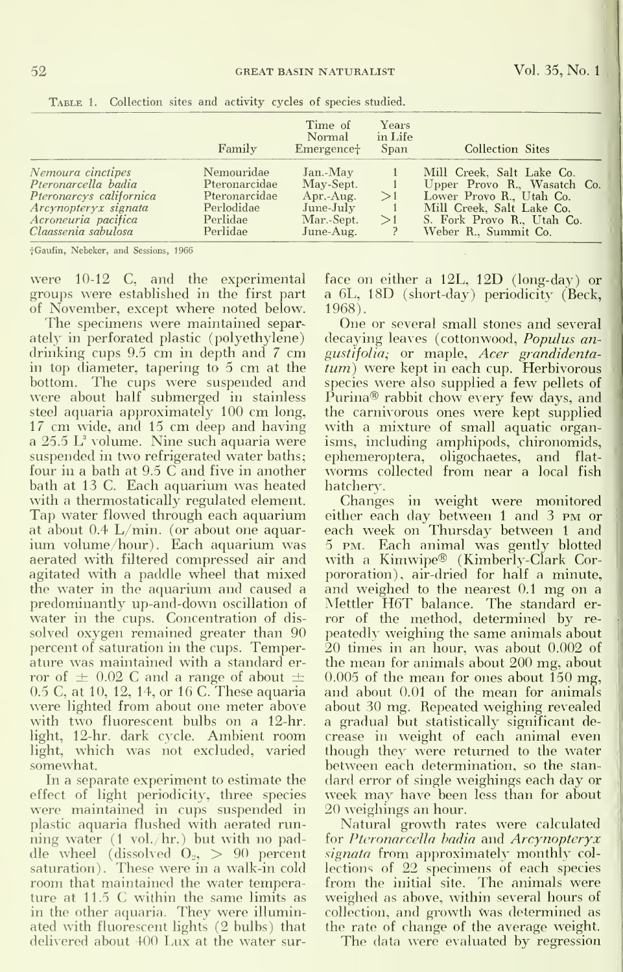|                                                                                                                                           | Family                                                                             | Time of<br>Normal<br>Emergencet                                            | Years<br>in Life<br>Span | Collection Sites                                                                                                                                                        |
|-------------------------------------------------------------------------------------------------------------------------------------------|------------------------------------------------------------------------------------|----------------------------------------------------------------------------|--------------------------|-------------------------------------------------------------------------------------------------------------------------------------------------------------------------|
| Nemoura cinctipes<br>Pteronarcella badia<br>Pteronarcys californica<br>Arcynopteryx signata<br>Acroneuria pacifica<br>Claassenia sabulosa | Nemouridae<br>Pteronarcidae<br>Pteronarcidae<br>Perlodidae<br>Perlidae<br>Perlidae | Jan.-May<br>May-Sept.<br>Apr.-Aug.<br>June-July<br>Mar.-Sept.<br>June-Aug. | >1<br>>1                 | Mill Creek, Salt Lake Co.<br>Upper Provo R., Wasatch Co.<br>Lower Provo R., Utah Co.<br>Mill Creek, Salt Lake Co.<br>S. Fork Provo R., Utah Co.<br>Weber R., Summit Co. |

TABLE 1. Collection sites and activity cycles of species studied.

<sup>+</sup>Gaufin, Nebeker, and Sessions, 1966

were 10-12 C, and the experimental groups were established in the first part of November, except where noted below.

The specimens were maintained separately in perforated plastic (polyethylene) drinking cups 9.5 cm in depth and 7 cm in top diameter, tapering to 5 cm at the bottom. The cups were suspended and were about half submerged in stainless steel aquaria approximately 100 cm long, 17 cm wide, and 15 cm deep and having a  $25.5$  L<sup>3</sup> volume. Nine such aquaria were suspended in two refrigerated water baths; four in a bath at 9.5 C and five in another bath at 13 C. Each aquarium was heated with a thermostatically regulated element. Tap water flowed through each aquarium at about 0.4 L/min. (or about one aquarium volume/hour). Each aquarium was aerated with filtered compressed air and agitated with a paddle wheel that mixed the water in the aquarium and caused a predominantly up-and-down oscillation of water in the cups. Concentration of dissolved oxygen remained greater than 90 percent of saturation in the cups. Temperature was maintained with a standard error of  $\pm$  0.02 C and a range of about  $\pm$ 0.5 C, at 10, 12, 14, or 16 C. These aquaria were lighted from about one meter above with two fluorescent bulbs on a 12-hr. light, 12-hr. dark cycle. Ambient room light, which was not excluded, varied somewhat.

In a separate experiment to estimate the effect of light periodicity, three species were maintained in cups suspended in plastic aquaria flushed with aerated running water  $(1 \text{ vol.}/\text{hr.})$  but with no paddle wheel (dissolved  $O_2$ ,  $> 90$  percent saturation). These were in a walk-in cold room that maintained the water temperature at 11.5 C within the same limits as in the other aquaria. They were illuminated with fluorescent lights (2 bulbs) that delivered about 400 Lux at the water surface on either a  $12L$ ,  $12D$  (long-day) or a 6L, 18D (short-day) periodicity (Beck, 1968).

One or several small stones and several decaying leaves (cottonwood, Populus angustifolia; or maple, Acer grandidenta-<br>tum) were kept in each cup. Herbivorous species were also supplied a few pellets of Purina® rabbit chow every few days, and the carnivorous ones were kept supplied with a mixture of small aquatic organisms, including amphipods, chironomids, ephemeroptera, oligochaetes, and flatworms collected from near a local fish hatchery.

Changes in weight were monitored either each day between 1 and 3 PM or each week on Thursday between 1 and 5 PM. Each animal was gently blotted with a Kimwipe® (Kimberly-Clark Corpororation), air-dried for half a minute, and weighed to the nearest 0.1 mg on a Mettler H6T balance. The standard error of the method, determined by repeatedly weighing the same animals about 20 times in an hour, was about 0.002 of the mean for animals about 200 mg, about  $0.005$  of the mean for ones about 150 mg, and about 0.01 of the mean for animals about 30 mg. Repeated weighing revealed a gradual but statistically significant decrease in weight of each animal even though they were returned to the water between each determination, so the standard error of single weighings each day or week may have been less than for about 20 weighings an hour.

Natural growth rates were calculated for Pteronarcella badia and Arcynopteryx signata from approximately monthly collections of 22 specimens of each species from the initial site. The animals were weighed as above, within several hours of collection, and growth was determined as the rate of change of the average weight.

The data were evaluated by regression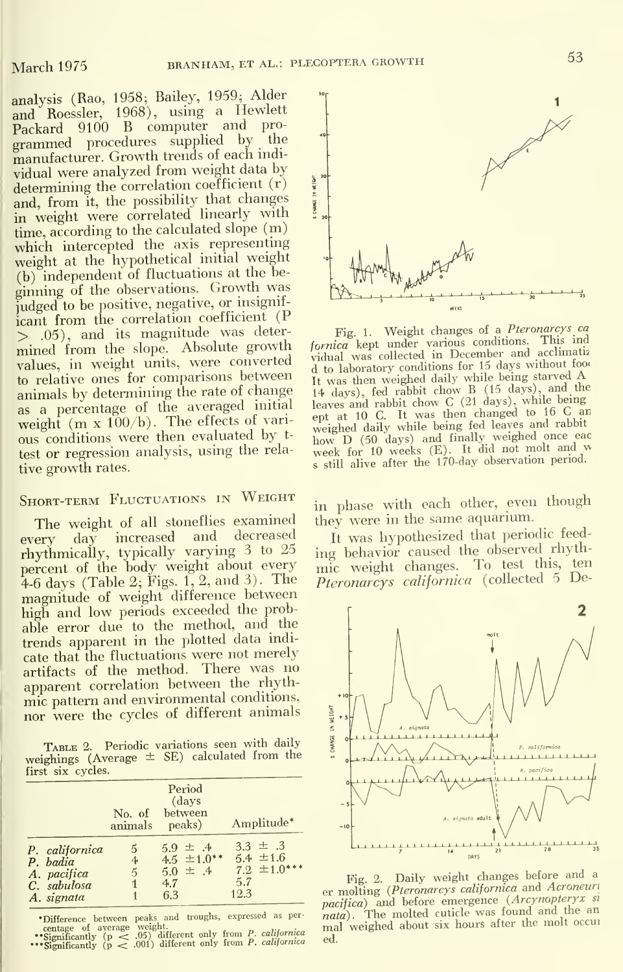analysis (Rao, 1958; Bailey, 1959; Alder and Roessler, 1968), using <sup>a</sup> Hewlett Packard 9100 B computer and programmed procedures supplied by the manufacturer. Growth trends of each mdividual were analyzed from weight data by determining the correlation coefficient (r) and, from it, the possibility that changes  $\frac{1}{3}$  with weight were correlated linearly with  $\frac{3}{3}$ time, according to the calculated slope (m) which intercepted the axis representing weight at the hypothetical initial weight (b) independent of fluctuations at the be ginning of the observations. Growth was judged to be positive, negative, or insignif icant from the correlation coefficient  $(P \geq 0.05)$ , and its magnitude was deter-<br> $\frac{1}{2}$  Fig. 1. Weight changes of a *Pteronarcys* can > .05), and its magnitude was deter-<br>mined from the slope. Absolute growth fornica kept under various conditions. This ind<br>values in weight units were converted vidual was collected in December and acclimatiz mined from the slope. Absolute growth *fornica* kept under various condutions. Ini weight units, were converted in become ordination of the stellar values, in weight units, were converted in leaboratory conditions for 15 d values, in weight units, were converted vidual was collected in become the days without to to relative ones for comparisons between the weighted daily while being starved A animals by determining the rate of change as <sup>a</sup> percentage of the averaged initial test or regression analysis, using the relative growth rates.

The weight of all stoneflies examined they were in the same aquarium.<br>  $_{\text{c}}$  day increased and decreased  $_{\text{I}}$  t was hypothesized that periodic feedevery day increased and decreased It was hypothesized that periodic feed-<br>rhythmically, typically varying 3 to 25 ing behavior caused the observed rhythrhythmically, typically varying  $3$  to  $25$  ing behavior caused the observed rhyth-<br>percent of the body weight about every mic weight changes. To test this, ten percent of the body weight about every mic weight changes. To test this, ten 4-6 days (Table 2; Figs. 1, 2, and 3). The *Pteronarcys californica* (collected 5 De-4-6 days (Table 2; Figs. 1, 2, and 3). The magnitude of weight difference between high and low periods exceeded the probable error due to the method, and the trends apparent in the plotted data indi cate that the fluctuations were not merely artifacts of the method. There was no apparent correlation between the rhythmic pattern and environmental conditions,<br>nor were the cycles of different animals nor were the cycles of different animals

TABLE 2. Periodic variations seen with daily weighings (Average  $\pm$  SE) calculated from the first six cycles.

|                                                                        | No. of<br>animals             | Period<br>(days<br>between<br>peaks)                          | Amplitude*                                                       |
|------------------------------------------------------------------------|-------------------------------|---------------------------------------------------------------|------------------------------------------------------------------|
| P. californica<br>P. badia<br>A. pacifica<br>C. sabulosa<br>A. signata | 5<br>$\overline{4}$<br>5<br>1 | $5.9 \pm .4$<br>$4.5 \pm 1.0**$<br>$5.0 \pm .4$<br>4.7<br>6.3 | $3.3 \pm .3$<br>$5.4 \pm 1.6$<br>$7.2 \pm 1.0***$<br>5.7<br>12.3 |

 $\begin{tabular}{l} \bf {^{\bullet}Difference} \hspace{1em} between \hspace{1em} peaks \hspace{1em} and \hspace{1em} troughs, \hspace{1em} expressed \hspace{1em} as \hspace{1em} per-  
centering \hspace{1em} of \hspace{1em} average \hspace{1em} of \hspace{1em} by \hspace{1em} (p \hspace{1em} < \hspace{1em} .05) \hspace{1em} different \hspace{1em} only \hspace{1em} from \hspace{1em} P, \hspace{1em} calibration's \hspace{1em} (p \hspace{1em} < \hspace{1em} .001) \hspace{1em}$ 



to relative ones for comparisons between<br>
it was then weighed daily while being starved A<br>
animals by determining the rate of change<br>
as a percentage of the averaged initial<br>
averaged initial<br>
leaves and rabbit chow C(21 weight  $(m \times 100/b)$ . The effects of vari-<br>ous conditions were then evaluated by  $t$ -<br> $m \times D$  (50 days) and finally weighed once eac ous conditions were then evaluated by  $t$ -<br>test or regression analysis, using the rela-<br>week for 10 weeks (E). It did not molt and we<br> s still alive after the 170-day observation period.

SHORT-TERM FLUCTUATIONS IN WEIGHT in phase with each other, even though



Fig. 2. Daily weight changes before and a er molting (*Pteronarcys californica* and *Acroneuri* pacifica) and before emergence (*Arcynopteryx si*<br> *nata*). The molted cutricle was found and the an<br> *nata*). The molted cutricle was found and the cruit mall weighed about six hours after the molt occur  $_{\rm ed.}$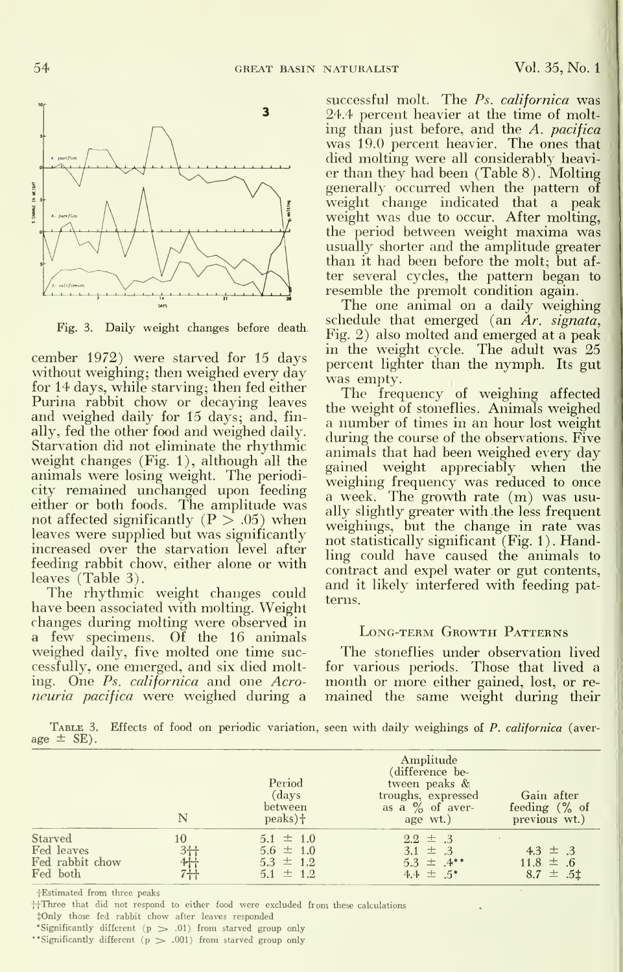

Fig. 3. Daily weight changes before death.

cember 1972) were starved for 15 days without weighing; then weighed every day for 14 days, while starving; then fed either Purina rabbit chow or decaying leaves and weighed daily for 15 days; and, finally, fed the other food and weighed daily. Starvation did not eliminate the rhythmic weight changes (Fig. 1), although all the animals were losing weight. The periodicity remained unchanged upon feeding either or both foods. The amplitude was not affected significantly ( $P > .05$ ) when leaves were supplied but was significantly increased over the starvation level after feeding rabbit chow, either alone or with leaves (Table 3).

The rhythmic weight changes could have been associated with molting. Weight changes during molting were observed in a few specimens. Of the 16 animals weighed daily, five molted one time successfully, one emerged, and six died molting. One Ps. californica and one Acroneuria pacifica were weighed during a

successful molt. The Ps. californica was 24.4 percent heavier at the time of molt ing than just before, and the A. pacifica was 19.0 percent heavier. The ones that died molting were all considerably heavier than they had been (Table 8) . Molting generally occurred when the pattern of weight change indicated that a peak weight was due to occur. After molting, the period between weight maxima was usually shorter and the amplitude greater than it had been before the molt; but af ter several cycles, the pattern began to resemble the premolt condition again.

The one animal on a daily weighing schedule that emerged (an  $Ar.$  signata, Fig. 2) also molted and emerged at a peak in the weight cycle. The adult was 25 percent lighter than the nymph. Its gut was empty.

The frequency of weighing affected the weight of stoneflies. Animals weighed a number of times in an hour lost weight during the course of the observations. Five animals that had been weighed every day gained weight appreciably when the weighing frequency was reduced to once a week. The growth rate (m) was usually slightly greater with .the less frequent weighings, but the change in rate was not statistically significant (Fig. 1). Handling could have caused the animals to contract and expel water or gut contents, and it likely interfered with feeding patterns.

#### Long-term Growth Patterns

The stoneflies under observation lived for various periods. Those that lived a month or more either gained, lost, or re mained the same weight during their

TABLE 3. Effects of food on periodic variation, seen with daily weighings of P. californica (average  $\pm$  SE).

|                                                      | N                         | Period<br>(days)<br>between<br>$peaks$ ) $\dagger$               | Amplitude<br>(difference be-<br>tween peaks &<br>troughs, expressed<br>as a $\%$ of aver-<br>age wt.) | Gain after<br>feeding $(\%$ of<br>previous wt.) |
|------------------------------------------------------|---------------------------|------------------------------------------------------------------|-------------------------------------------------------------------------------------------------------|-------------------------------------------------|
| Starved<br>Fed leaves<br>Fed rabbit chow<br>Fed both | 10<br>3十<br>4十<br>$7 + 1$ | $5.1 \pm 1.0$<br>$5.6 \pm 1.0$<br>$5.3 \pm 1.2$<br>$5.1 \pm 1.2$ | $2.2 \pm .3$<br>$3.1 \pm .3$<br>$5.3 \pm .4**$<br>$4.4 \pm .5^*$                                      | $4.3 \pm .3$<br>$11.8 \pm .6$<br>$8.7 \pm .51$  |

fEstimated from three peaks

 $\ddagger$ Three that did not respond to either food were excluded from these calculat

JOnly those fed rabbit chow after leaves responded

•Significantly different (p > .01) from starved group only

\*\*Significantly different ( $p > .001$ ) from starved group only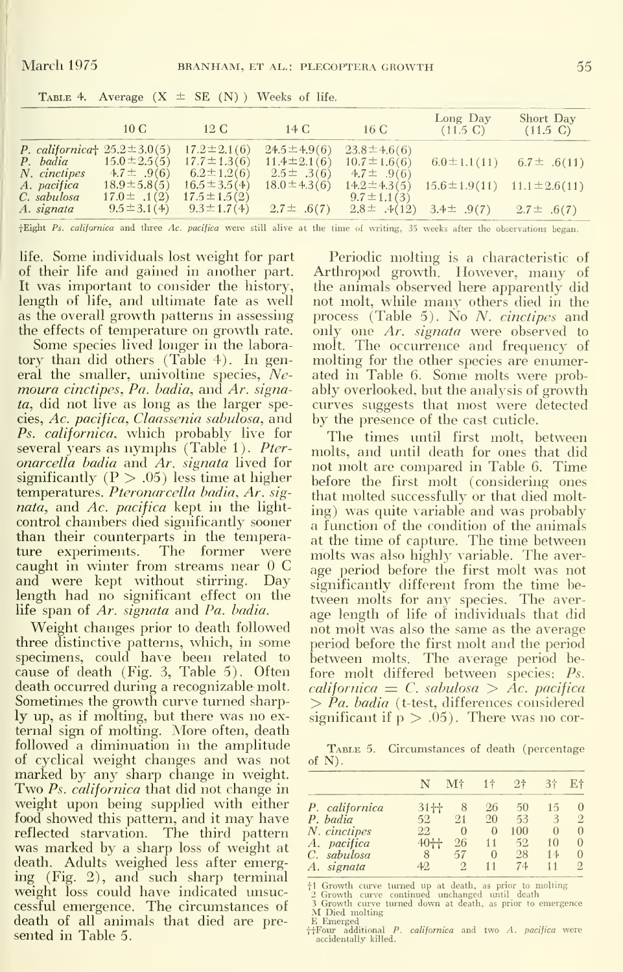|              | 10 <sub>C</sub>                                              | $12\text{ C}$     | 14 C              | 16C               | Long Day<br>$(11.5 \text{ C})$ | Short Day<br>$(11.5 \text{ C})$       |
|--------------|--------------------------------------------------------------|-------------------|-------------------|-------------------|--------------------------------|---------------------------------------|
|              | P. californica <sup><math>\pm</math></sup> 25.2 $\pm$ 3.0(5) | $17.2 \pm 2.1(6)$ | $24.5 \pm 4.9(6)$ | $23.8 \pm 4.6(6)$ |                                |                                       |
|              | <i>P.</i> badia $15.0 \pm 2.5(5)$                            | $17.7 \pm 1.3(6)$ | $11.4 \pm 2.1(6)$ | $10.7 \pm 1.6(6)$ |                                | $6.0 \pm 1.1(11)$ $6.7 \pm .6(11)$    |
| N. cinctipes | $4.7 \pm .9(6)$                                              | $6.2 \pm 1.2(6)$  | $2.5\pm .3(6)$    | 4.7 $\pm$ .9(6)   |                                |                                       |
| A. pacifica  | $18.9 \pm 5.8(5)$                                            | $16.5 \pm 3.5(4)$ | $18.0 \pm 4.3(6)$ | $14.2 \pm 4.3(5)$ |                                | $15.6 \pm 1.9(11)$ $11.1 \pm 2.6(11)$ |
| C. sabulosa  | $17.0 \pm .1(2)$                                             | $17.5 \pm 1.5(2)$ |                   | $9.7 \pm 1.1(3)$  |                                |                                       |
| A. signata   | $9.5 \pm 3.1(4)$                                             | $9.3 \pm 1.7(4)$  | $2.7\pm .6(7)$    | $2.8 \pm .4(12)$  | 3.4 $\pm$ .9(7)                | $2.7 \pm .6(7)$                       |

TABLE 4. Average  $(X \pm SE(N))$  Weeks of life.

+Eight Ps. californica and three Ac. pacifica were still alive at the time of writing, 35 weeks after the observations began.

life. Some individuals lost weight for part of their life and gained in another part. It was important to consider the history, length of life, and ultimate fate as well as the overall growth patterns in assessing the effects of temperature on growth rate.

Some species lived longer in the laboratory than did others (Table 4). In general the smaller, univoltine species,  $Ne$ moura cinctipes, Pa. badia, and Ar. signa*ta*, did not live as long as the larger species, Ac. pacifica, Claassenia sabulosa, and Ps. californica, which probably live for several years as nymphs (Table 1). Pter*onarcella badia* and Ar, *signata* lived for significantly ( $P > .05$ ) less time at higher temperatures. Pteronarcella badia, Ar. signata, and Ac. pacifica kept in the lightcontrol chambers died significantly sooner than their counterparts in the temperature experiments. The former were caught in winter from streams near 0 C and were kept without stirring. Day length had no significant effect on the life span of Ar. signata and Pa. badia.

Weight changes prior to death followed three distinctive patterns, which, in some specimens, could have been related to cause of death (Fig. 3, Table 5). Often death occurred during a recognizable molt. Sometimes the growth curve turned sharply up, as if molting, but there was no external sign of molting. More often, death followed a diminuation in the amplitude of cyclical weight changes and was not marked by any sharp change in weight. Two Ps. californica that did not change in weight upon being supplied with either food showed this pattern, and it may have reflected starvation. The third pattern was marked by a sharp loss of weight at<br>death. Adults weighed less after emerging (Fig. 2), and such sharp terminal weight loss could have indicated unsuccessful emergence. The circumstances of death of all animals that died are presented in Table 5.

Periodic molting is a characteristic of Arthropod growth. However, many of the animals observed here apparently did not molt, while many others died in the process (Table 5). No  $N$ , *cinctipes* and only one Ar. signata were observed to molt. The occurrence and frequency of molting for the other species are enumerated in Table 6. Some molts were probably overlooked, but the analysis of growth curves suggests that most were detected by the presence of the cast cuticle.

The times until first molt. between molts, and until death for ones that did not molt are compared in Table 6. Time before the first molt (considering ones that molted successfully or that died molting) was quite variable and was probably a function of the condition of the animals at the time of capture. The time between molts was also highly variable. The average period before the first molt was not significantly different from the time between molts for any species. The average length of life of individuals that did not molt was also the same as the average period before the first molt and the period between molts. The average period before molt differed between species: Ps. californica  $\equiv C$ , sabulosa  $>$  Åc, pacifica  $> Pa.$  badia (t-test, differences considered significant if  $p > .05$ ). There was no cor-

TABLE 5. Circumstances of death (percentage of  $N$ ).

|                |          | $M^+$    | $1+$     | 9 <sub>t</sub> |          |          |
|----------------|----------|----------|----------|----------------|----------|----------|
| P. californica | $31 +$   | 8        | 26       | 50             | 15       | 0        |
| P. badia       | 52.      | $^{0.1}$ | 20       | 53             | 3        | 9.       |
| N. cinctipes   | 22       | 0        | $\Omega$ | 100            | $\Omega$ | $\Omega$ |
| A. pacifica    | $40 + +$ | 26       | 11       | 52             | 10       | $^{(1)}$ |
| C. sabulosa    |          | 57       | Ω        | 28             | 14       | $\cup$   |
| signata<br>А.  | 49.      |          |          | 74             |          |          |

<sup>1</sup> Growth curve turned up at death, as prior to molting<br>
<sup>2</sup> Growth curve continued unchanged until death<br>
<sup>3</sup> Growth curve turned down at death, as prior to emergence M Died molting

N Due monume<br>  $\frac{1}{t}$ F. Emerged<br>  $\frac{1}{t}$ Four additional *P. californica* and two *A. pacifica* were<br>
accidentally killed.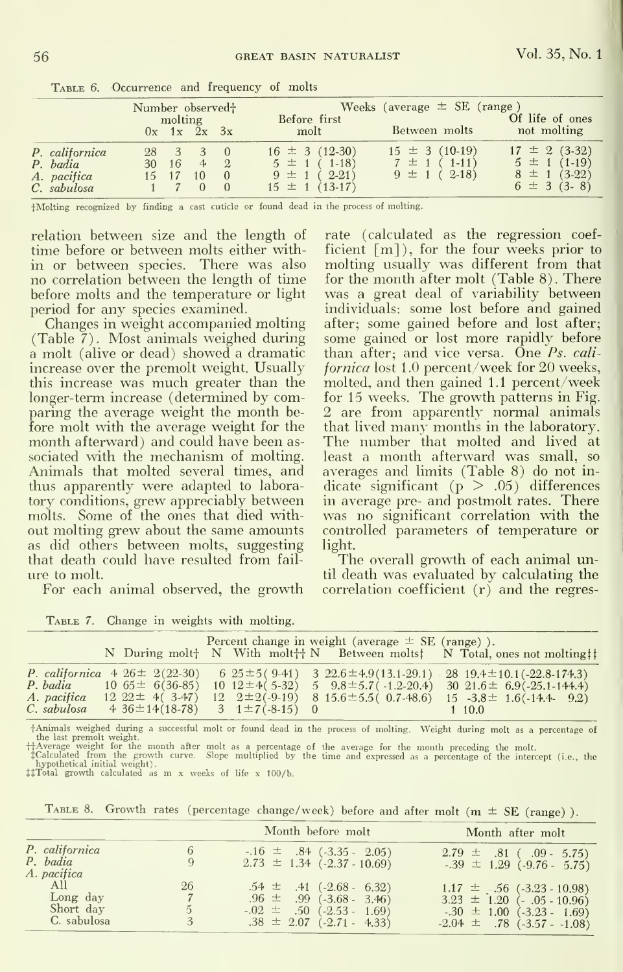|                                                          | Number observed <sup>+</sup> | molting       |                | Before first                                                                     | Weeks (average $\pm$ SE (range)                            | Of life of ones                                                              |
|----------------------------------------------------------|------------------------------|---------------|----------------|----------------------------------------------------------------------------------|------------------------------------------------------------|------------------------------------------------------------------------------|
|                                                          |                              | $0x$ 1x 2x 3x |                | molt                                                                             | Between molts                                              | not molting                                                                  |
| P. californica<br>P. badia<br>A. pacifica<br>C. sabulosa |                              | 16<br>15 17   | $\overline{9}$ | $16 \pm 3 (12-30)$<br>$5 \pm 1$ (1-18)<br>$9 \pm 1$ (2-21)<br>$15 \pm 1$ (13-17) | $15 \pm 3 (10-19)$<br>$7 \pm 1$ (1-11)<br>$9 \pm 1$ (2-18) | $17 \pm 2 (3-32)$<br>$5 \pm 1 (1-19)$<br>$8 \pm 1 (3-22)$<br>$6 \pm 3$ (3-8) |

TABLE 6. Occurrence and frequency of molts

fMolting recognized by finding a cast cuticle or found in the process of molting.

relation between size and the length of time before or between molts either within or between species. There was also no correlation between the length of time before molts and the temperature or light period for any species examined.

Changes in weight accompanied molting (Table 7). Most animals weighed during a molt (alive or dead) showed a dramatic increase over the premolt weight. Usually this increase was much greater than the longer-term increase (determined by comparing the average weight the month be fore molt with the average weight for the month afterward) and could have been as sociated with the mechanism of molting. Animals that molted several times, and thus apparently were adapted to labora tory conditions, grew appreciably between molts. Some of the ones that died with out molting grew about the same amounts as did others between molts, suggesting that death could have resulted from fail ure to molt.

For each animal observed, the growth

TABLE 7. Change in weights with molting.

rate (calculated as the regression coefficient [m] ) , for the four weeks prior to molting usually was different from that for the month after molt (Table 8). There was a great deal of variability between individuals: some lost before and gained after; some gained before and lost after; some gained or lost more rapidly before than after; and vice versa. One Ps. cali fornica lost 1.0 percent/week for 20 weeks, molted, and then gained 1.1 percent/week for 15 weeks. The growth patterns in Fig. 2 are from apparently normal animals that lived many months in the laboratory. The number that molted and lived at least a month afterward was small, so averages and limits (Table 8) do not indicate significant  $(p > .05)$  differences in average pre- and postmolt rates. There was no significant correlation with the controlled parameters of temperature or light.

The overall growth of each animal until death was evaluated by calculating the correlation coefficient (r) and the regres-

|             |                                           |  | Percent change in weight (average $\pm$ SE (range)). | N During molt <sup>+</sup> N With molt <sup>+</sup> <sup>+</sup> N Between molts <sup>†</sup> N Total, ones not molting <sup>††</sup> |
|-------------|-------------------------------------------|--|------------------------------------------------------|---------------------------------------------------------------------------------------------------------------------------------------|
|             |                                           |  |                                                      | P. californica $4\ 26 \pm \ 2(22-30)$ $6\ 25 \pm 5(9-41)$ $3\ 22.6 \pm 4.9(13.1-29.1)$ $28\ 19.4 \pm 10.1(-22.8-174.3)$               |
| P. badia    | $10\,65 \pm \,6(36-85)$                   |  |                                                      | $10$ $12 \pm 4(5-32)$ 5 $9.8 \pm 5.7(-1.2-20.4)$ 30 $21.6 \pm 6.9(-25.1-144.4)$                                                       |
| A. pacifica | $12\,22 \pm 4(3.47)$                      |  |                                                      | $12 \quad 2 \pm 2(-9-19)$ 8 $15.6 \pm 5.5(0.7-48.6)$ $15 \quad -3.8 \pm 1.6(-14.4-9.2)$                                               |
| C. sabulosa | $4.36 \pm 14(18-78)$ 3 $1 \pm 7(-8-15)$ 0 |  |                                                      | 1 10.0                                                                                                                                |

fAnimals weighed during <sup>a</sup> successful molt or found dead in the process of molting. Weight during molt as <sup>a</sup> percentage of

the last premoti weight.<br>  $\ddot{\tau}$  are every the month after molt as a percentage of the average for the month preceding the molt.<br>  $\ddot{\tau}$ Calculated from the growth curve. Slope multiplied by the time and expressed as a

TABLE 8. Growth rates (percentage change/week) before and after molt ( $m \pm SE$  (range)).

|                                             |                         | Month before molt                                                                                                               | Month after molt                                                                                                                               |
|---------------------------------------------|-------------------------|---------------------------------------------------------------------------------------------------------------------------------|------------------------------------------------------------------------------------------------------------------------------------------------|
| P. californica<br>P. badia<br>A. pacifica   | 6<br>9                  | $-.16 \pm .84 (-3.35 - 2.05)$<br>$2.73 \pm 1.34$ (-2.37 - 10.69)                                                                | $2.79 \pm .81$ (.09 - 5.75)<br>$-39 \pm 1.29$ ( $-9.76 - 5.75$ )                                                                               |
| All<br>Long day<br>Short day<br>C. sabulosa | 26<br>$\mathbf{5}$<br>3 | $.54 \pm .41$ (-2.68 - 6.32)<br>$.96 \pm .99$ (-3.68 - 3.46)<br>$-0.02 \pm .50$ (-2.53 - 1.69)<br>$.38 \pm 2.07$ (-2.71 - 4.33) | $1.17 \pm .56$ (-3.23 - 10.98)<br>$3.23 \pm 1.20$ (-.05 - 10.96)<br>$-0.30 \pm 1.00$ ( $-3.23 - 1.69$ )<br>$-2.04 \pm .78$ ( $-3.57 - .1.08$ ) |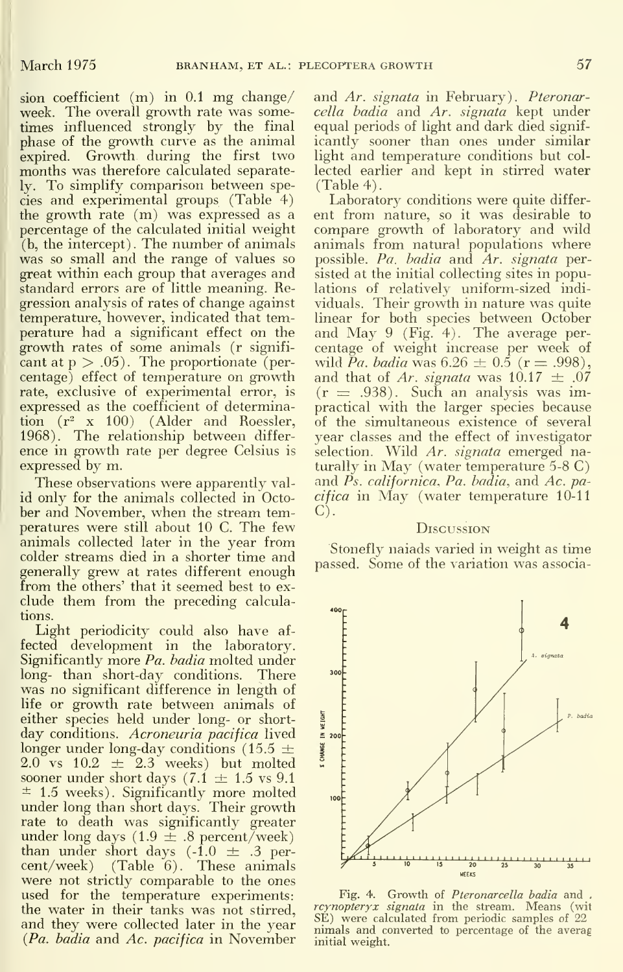sion coefficient (m) in 0.1 mg change/ week. The overall growth rate was sometimes influenced strongly by the final phase of the growth curve as the animal expired. Growth during the first two months was therefore calculated separately. To simplify comparison between species and experimental groups (Table 4) the growth rate (m) was expressed as a percentage of the calculated initial weight (b, the intercept). The number of animals was so small and the range of values so great within each group that averages and standard errors are of little meaning. Regression analysis of rates of change against temperature, however, indicated that temperature had a significant effect on the growth rates of some animals (r signifi cant at  $p > .05$ ). The proportionate (percentage) effect of temperature on growth rate, exclusive of experimental error, is expressed as the coefficient of determination  $(r^2 \times 100)$  (Alder and Roessler, 1968). The relationship between differ ence in growth rate per degree Celsius is expressed by m.

These observations were apparently valid only for the animals collected in Octo ber and November, when the stream temperatures were still about 10 C. The few animals collected later in the year from colder streams died in a shorter time and generally grew at rates different enough from the others' that it seemed best to ex clude them from the preceding calculations.

Light periodicity could also have af fected development in the laboratory. Significantly more  $Pa$ . badia molted under long- than short-day conditions. There was no significant difference in length of life or growth rate between animals of<br>either species held under long- or short-<br>day conditions. Acroneuria pacifica lived either species held under long- or short day conditions. *Acroneuria pacifica* lived<br>longer under long-day conditions  $(15.5 \pm \frac{3}{2})$ longer under long-day conditions (15.5  $\pm$  $2.0$  vs  $10.2 \pm 2.3$  weeks) but molted sooner under short days (7.1  $\pm$  1.5 vs 9.1  $\pm$  1.5 weeks). Significantly more molted under long than short days. Their growth rate to death was significantly greater<br>under long days (1.9  $\pm$  .8 percent/week) than under short days  $(-1.0 \pm .3$  percent/week) (Table 6). These animals were not strictly comparable to the ones used for the temperature experiments: the water in their tanks was not stirred, and they were collected later in the year (Pa. badia and Ac. pacifica in November

and Ar. signata in February). Pteronarcella badia and Ar. signata kept under equal periods of light and dark died signif icantly sooner than ones under similar light and temperature conditions but col lected earlier and kept in stirred water (Table 4).

Laboratory conditions were quite differ ent from nature, so it was desirable to compare growth of laboratory and wild animals from natural populations where possible. Pa. badia and Ar. signata persisted at the initial collecting sites in populations of relatively uniform-sized indi viduals. Their growth in nature was quite linear for both species between October and May <sup>9</sup> (Fig. 4). The average per centage of weight increase per week of wild Pa. badia was  $6.26 \pm 0.5$  (r = .998), and that of Ar. signata was  $10.17 \pm .07$  $(r = .938)$ . Such an analysis was impractical with the larger species because of the simultaneous existence of several year classes and the effect of investigator selection. Wild Ar. signata emerged naturally in May (water temperature 5-8 C) and Ps. californica. Pa. badia, and Ac. pacifica in May (water temperature 10-11 C).

#### **D***iscussion*

Stonefly naiads varied in weight as time passed. Some of the variation was associa-



Fig. 4. Growth of *Pteronarcella badia* and .<br>*rcynopteryx signata* in the stream. Means (wit<br>SE) were calculated from periodic samples of 22 nimals and converted to percentage of the averag initial weight.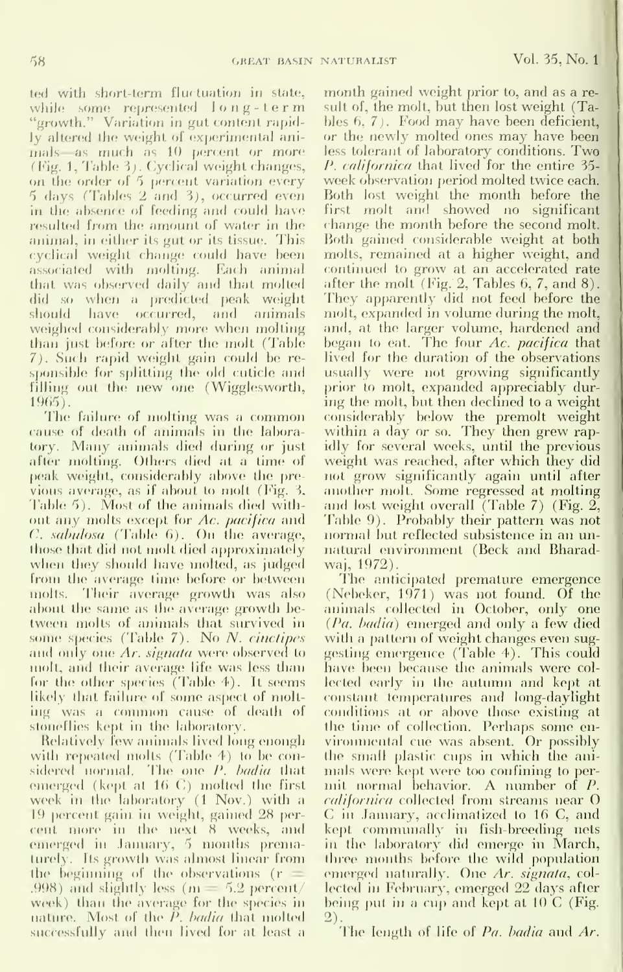ted with short-term fluctuation in state, while some represented  $\log$ -term "growth." Variation in gut content rapidly altered the weight of experimental animals as much as 10 percent or more (Fig. 1, Table 3). Cyclical weight changes, on the order of 5 percent variation every 5 days (Tables 2 and 3), occurred even in the absence of feeding and could have resulted from the amount of water in the animal, in either its gut or its tissue. This cyclical weight change could have been associated with molting. Each animal that was observed daily and that molted did so when a predicted peak weight should have occurred, and animals weighed considerably more when molting than just before or after the molt (Table 7). Such rapid weight gain could be responsible for splitting the old cuticle and filling out the new one (Wigglesworth, 1965).

The failure of molting was a common cause of death of animals in the laboratory. Many animals died during or just after molting. Others died at a time of peak weight, considerably above the previous average, as if about to molt (Fig. 3. Table 5). Most of the animals died without any molts except for Ac. pacifica and  $C$ , sabulosa (Table 6). On the average, those that did not molt died approximately when they should have molted, as judged from the average time before or between molts. Their average growth was also about the same as the average growth between molts of animals that survived in some species (Table  $7$ ). No N. cinctipes and only one Ar. signata were observed to molt, and their average life was less than for the other species (Table 4). It seems likely that failure of some aspect of molting was a common cause of death of stoneflies kept in the laboratory.

Relatively few animals lived long enough with repeated molts (Table 4) to be considered normal. The one P. badia that emerged (kept at 16 C) molted the first week in the laboratory (1 Nov.) with a 19 percent gain in weight, gained 28 percent more in the next 8 weeks, and emerged in January, 5 months prematurely. Its growth was almost linear from the beginning of the observations (r .998) and slightly less ( $m = 5.2$  percent/ week) than the average for the species in nature. Most of the P. badia that molted successfully and then lived for at least a

month gained weight prior to, and as a result of, the molt, but then lost weight (Tables  $6, 7$ . Food may have been deficient, or the newly molted ones may have been less tolerant of laboratory conditions. Two *P. californica* that lived for the entire 35week observation period molted twice each. Both lost weight the month before the first molt and showed no significant change the month before the second molt. Both gained considerable weight at both molts, remained at a higher weight, and continued to grow at an accelerated rate after the molt (Fig. 2, Tables  $6, 7,$  and  $8$ ). They apparently did not feed before the molt, expanded in volume during the molt, and, at the larger volume, hardened and began to eat. The four Ac. pacifica that lived for the duration of the observations usually were not growing significantly prior to molt, expanded appreciably during the molt, but then declined to a weight considerably below the premolt weight within a day or so. They then grew rapidly for several weeks, until the previous weight was reached, after which they did not grow significantly again until after another molt. Some regressed at molting and lost weight overall (Table 7) (Fig.  $2$ , Table 9). Probably their pattern was not normal but reflected subsistence in an unnatural environment (Beck and Bharadwaj, 1972).

The anticipated premature emergence (Nebeker, 1971) was not found. Of the animals collected in October, only one (Pa. badia) emerged and only a few died with a pattern of weight changes even suggesting emergence (Table 4). This could have been because the animals were collected early in the autumn and kept at constant temperatures and long-daylight conditions at or above those existing at<br>the time of collection. Perhaps some environmental cue was absent. Or possibly the small plastic cups in which the animals were kept were too confining to permit normal behavior. A number of P. californica collected from streams near O C in January, acclimatized to 16 C, and kept communally in fish-breeding nets in the laboratory did emerge in March, three months before the wild population emerged naturally. One Ar. signata, collected in February, emerged 22 days after being put in a cup and kept at  $10\,C$  (Fig.  $(2).$ 

The length of life of Pa. badia and Ar.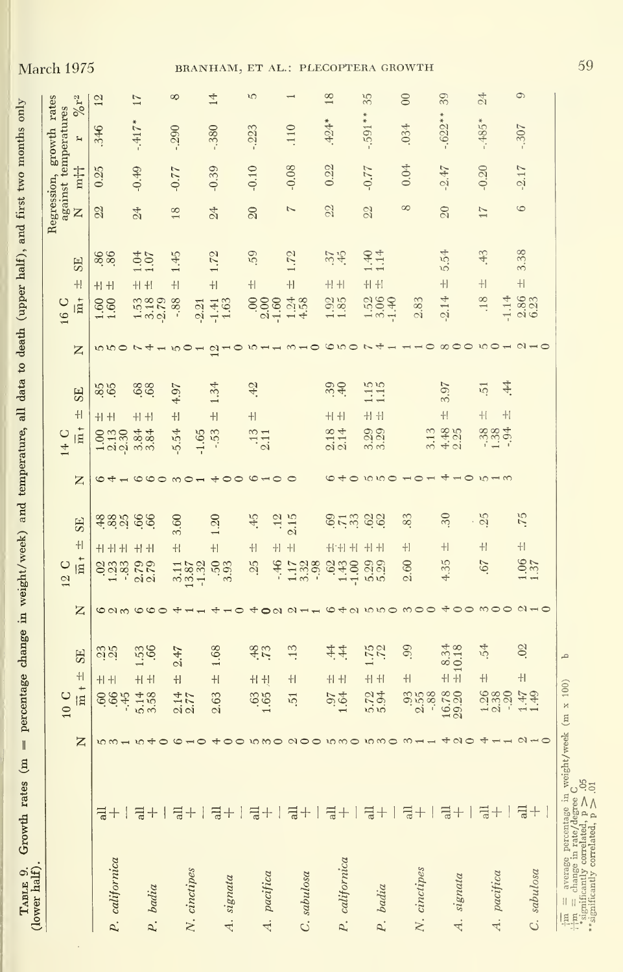| (lower half)   |                                                        |        |                                         |                                  |               |                                 |                 |                   |                                   |                                        |                |                       |                |                            |                             |                 |         |                                        |                     |                 |
|----------------|--------------------------------------------------------|--------|-----------------------------------------|----------------------------------|---------------|---------------------------------|-----------------|-------------------|-----------------------------------|----------------------------------------|----------------|-----------------------|----------------|----------------------------|-----------------------------|-----------------|---------|----------------------------------------|---------------------|-----------------|
|                |                                                        |        |                                         |                                  |               |                                 |                 |                   |                                   |                                        |                |                       |                | 16 C                       |                             |                 |         | Regression, growth rates               |                     |                 |
|                | z                                                      |        | $\overline{m} + \pm$<br>10 <sub>C</sub> | SE <sub></sub>                   | Z             | $\overline{\mathbf{m}}$<br>12 C | $\pm\!$         | <b>SE</b>         | Z                                 | $\frac{1}{10}$<br>14 C                 | $+$            | <b>SE</b>             | Z              | $\frac{1}{12}$             | SE <sub></sub><br>$+1$      | Z               | m†      | against temperatures<br>$\overline{a}$ | $\%$ r <sup>2</sup> |                 |
|                |                                                        |        |                                         |                                  |               |                                 |                 |                   |                                   |                                        |                |                       |                |                            |                             | 22              | 0.25    | 346                                    | 12                  |                 |
| P. californica | $10 m +$<br>둬+ㅣ                                        |        | 664                                     | 33<br>$+1 +$                     | $\frac{6}{3}$ | Sää                             | 十十十             |                   | $\frac{4}{5}$                     | $\frac{1.00}{2.13}$<br>$-2.30$         | $+1 +$         | 85                    | ro ro o        | 1.60                       | 86.<br>$+ + $               |                 |         |                                        |                     |                 |
| badia<br>P.    | $\mathfrak{c}$<br>↔<br>$\overline{a}$ + $\overline{a}$ |        | 5.14                                    | $1.53$<br>$.66$<br>$+1 +$        | 000           | 2.79                            | $+1 +$          | assi ee           | $\circ \circ \circ$               | $3.\overline{8}4$<br>$3.\overline{8}4$ | $+1 +$         | <b>89.</b>            |                | $1.53$<br>$3.18$<br>$2.79$ | 1.04<br>$+1 + 1$            | 24              | $-0.49$ | $-417*$                                | 17                  |                 |
| N. cinctipes   | $\frac{4}{9}$ + $\frac{1}{9}$                          |        | $\frac{2.14}{2.77}$                     | 2.47<br>$\ddagger$               |               | $3.11$<br>$13.87$<br>$-1.32$    | $+1$            | 3.60              | $\infty$                          | $-5.54$<br>$-1.65$                     | $+1$           | 4.97                  | 50             | $-0.88$<br>$-2.21$         | 1.45<br>$+1$                | 18              | $-0.77$ | $-290$                                 |                     | ∞               |
| A. signata     | $\overline{a}$ +                                       |        | 2.63                                    | 1.68<br>$\pm$                    |               | 3.93                            | $+1$            | 1.20              | $+$ 00                            | -.53                                   | $\pm$          | 1.34                  | $\mathfrak{a}$ | $-1.41$<br>$1.63$          | 1.72<br>$\frac{1}{2}$       | 24              | $-0.39$ | $-380$                                 |                     | $\overline{14}$ |
| A. pacifica    | $\frac{1}{6} + 1$                                      | 10 M O | $.63$<br>$1.65$                         | 48.<br>$+1 + 1$                  | $\sim$        | 25<br>$-46$                     | $+1$<br>$+1$    | 45                | $\circ$ $\overline{ }$<br>$\circ$ | $\frac{13}{2.11}$                      | $+1$           | 42                    |                | $\frac{880}{2.00}$         | 59<br>$\pm$                 | $\infty$        | $-0.10$ | $-0.223$                               |                     | ۱C              |
| C. sabulosa    | $\frac{1}{6} +$                                        | QQ     | $\overline{51}$                         | .13<br>$+1$                      | $\sim$        | 1.17<br>3.32                    | $\!+\! $        | $\frac{12}{2.15}$ |                                   |                                        |                |                       |                | $1.24$<br>$4.58$           | 1.72<br>$\ddot{+}$          | 7               | $-0.08$ | 110                                    |                     |                 |
| P. californica | $\frac{1}{a} +$                                        | 10MO   | $.97$<br>$1.64$                         | $\ddot{4}$<br>$\ddot{=}$<br>$+1$ |               | .62<br>$1.43$<br>$-1.00$        | $H + H + H$     | <b>SHE SS</b>     | $\circ$                           | $\frac{2.18}{2.14}$                    | $+1$           | 39.40                 | $\circ$ to     | 1.85                       | $37$<br>$45$<br>$+1$        | 22              | 0.22    | $.424*$                                |                     | 18              |
| badia<br>P.    | $\frac{1}{6} +$                                        |        | 5.794                                   | 1.75<br>$H$ $H$                  |               | 5.29                            | $+1 + 1$        |                   | 10100                             | 3.29                                   | $+1 +$         | $\frac{1.15}{1.15}$   |                | $\frac{1.52}{3.06}$        | $1.40$<br>$1.14$<br>$+1 +1$ | 22              | $-0.77$ |                                        | $-.591**$           | 35              |
| N. cinctipes   | $\overline{a}$ +                                       |        | 3.588                                   | .99<br>$\pm$                     |               | 80<br>$\sim$                    | $\ddagger\vert$ | 83                | $\overline{1}$                    | 3.13                                   |                |                       |                | 2.83                       |                             | $\infty$        | 0.04    | .034                                   |                     | $\infty$        |
| A. signata     | $\overline{a}+1$                                       |        | 16.78                                   | 8.34<br>±10.18<br>$\ddot{+}$     |               | 4.35                            | $\pm$           | 30                | $\overline{A}$<br>$\circ$         | $4.48$<br>2.25                         | $\ddot{+}$     | 3.97                  |                | $-2.14$                    | 5.54<br>$\overline{+}$      | $\overline{20}$ | $-2.47$ |                                        | $-.622**$           | 39              |
| pacifica<br>d. | $\vec{a} + \vec{b}$                                    |        | $1.38$<br>$2.38$<br>$-2.30$             | 54<br>$\ddot{+}$                 |               | .67                             | $+1$            | . 25              | $10 -$                            | $\frac{88}{130}$                       | $\pm$<br>$\pm$ | \$.<br>$\overline{5}$ |                | .18<br>$-1.14$             | 43<br>$+1$                  | 17              | $-0.20$ | $-.485*$                               |                     | $\frac{4}{24}$  |
| C. sabulosa    | $\overline{\rm al}$<br>$^{+}$                          |        | $1.47$<br>1.49                          | .02<br>$+$                       |               | 1.37                            | $\ddagger$      | .75               |                                   |                                        |                |                       |                | 2.86                       | 3.38<br>$\pm$               | 6               | $-2.17$ | $-.307$                                |                     | $\circ$         |

TABLE 9. Growth rates (m = percentage change in weight/week) and temperature, all data to death (upper half), and first two months only

**March 1975** 

59

P

 $\begin{array}{lll} \displaystyle \frac{1}{101} & = & \text{average percentage in weight/week (m x 100)} \\ \displaystyle \frac{1}{100} & \text{min} & \text{otherwise} \\ \end{array}$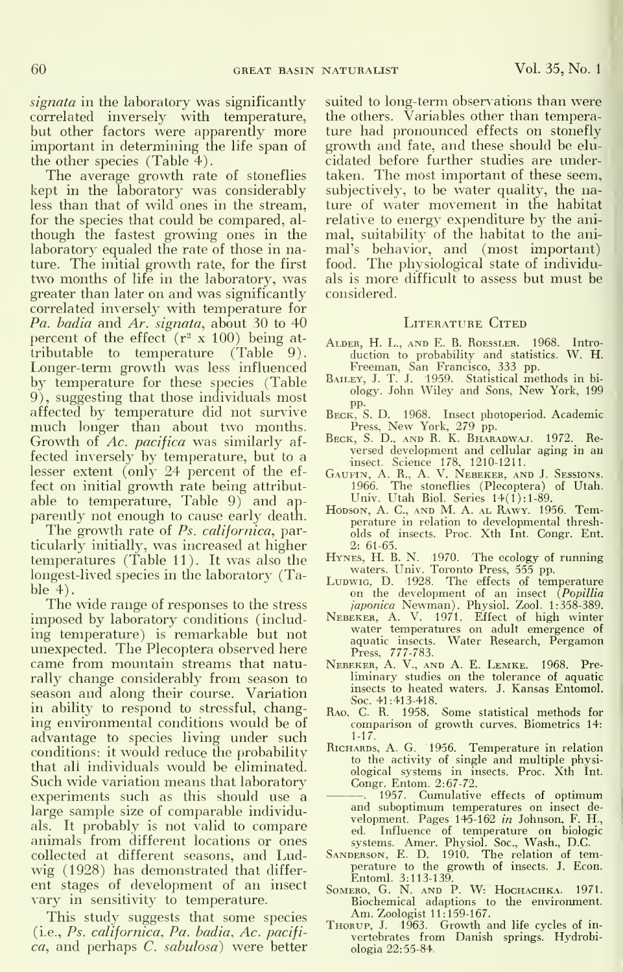signata in the laboratory was significantly correlated inversely with temperature, but other factors were apparently more important in determining the life span of the other species (Table 4).

The average growth rate of stoneflies kept in the laboratory was considerably less than that of wild ones in the stream, for the species that could be compared, al though the fastest growing ones in the laboratory equaled the rate of those in nature. The initial growth rate, for the first two months of life in the laboratory, was greater than later on and was significantly correlated inversely with temperature for Pa. badia and Ar. signata, about 30 to 40 percent of the effect  $(r^2 \times 100)$  being attributable to temperature (Table 9). Longer-term growth was less influenced by temperature for these species (Table 9), suggesting that those individuals most affected by temperature did not survive much longer than about two months. Growth of Ac. pacifica was similarly af fected inversely by temperature, but to a lesser extent (only 24 percent of the ef fect on initial growth rate being attribut able to temperature. Table 9) and ap parently not enough to cause early death.

The growth rate of Ps. californica, particularly initially, was increased at higher temperatures (Table 11). It was also the longest-lived species in the laboratory (Table 4).

The wide range of responses to the stress imposed by laboratory conditions (includ ing temperature) is remarkable but not unexpected. The Plecoptera observed here came from mountain streams that naturally change considerably from season to season and along their course. Variation in ability to respond to stressful, changing environmental conditions would be of advantage to species living under such conditions: it would reduce the probability that all individuals would be eliminated. Such wide variation means that laboratory experiments such as this should use a large sample size of comparable individuals. It probably is not valid to compare animals from different locations or ones collected at different seasons, and Lud wig (1928) has demonstrated that differ ent stages of development of an insect vary in sensitivity to temperature.

This study suggests that some species (i.e., Ps. californica. Pa. badia, Ac. pacifica, and perhaps C. sabulosa) were better suited to long-term observations than were the others. Variables other than temperature had pronounced effects on stonefly growth and fate, and these should be elu cidated before further studies are undertaken. The most important of these seem, subjectively, to be water quality, the nature of water movement in the habitat relative to energy expenditure by the ani mal, suitability of the habitat to the ani mal's behavior, and (most important) food. The physiological state of individuals is more difficult to assess but must be considered.

#### LITERATURE CITED

- ALDER, H. L., AND E. B. ROESSLER. 1968. Intro-<br>duction to probability and statistics. W. H.<br>Freeman, San Francisco, 333 pp.<br>Bailey, J. T. J. 1959. Statistical methods in bi-
- ology. John Wiley and Sons, New York, <sup>199</sup>
- pp.<br>BECK, S. D. 1968. Insect photoperiod. Academic
- Press, New York, 279 pp. Beck, S. D., and R. K. Bharadwaj. 1972. Re versed development and cellular aging in an
- Insect. Science 178, 1210-1211.<br>Gaurin, A. R., A. V. Nebeker, and J. Sessions.<br>1966. The stoneflies (Plecoptera) of Utah.<br>Univ. Utah Biol. Series 14(1):1-89.<br>Hodson, A. C., and M. A. al. Rawy. 1956. Tem-
- perature in relation to developmental thresh olds of insects. Proc. Xth Int. Congr. Ent. 2: 61-65.
- Hynes, H. B. N. 1970. The ecology of running<br>waters. Univ. Toronto Press, 555 pp.<br>LuDwig, D. 1928. The effects of temperature<br>on the development of an insect (Popillia
- japonica Newman). Physiol. Zool. 1:358-389.
- Nebeker, A. V. 1971. Effect of high winter water temperatures on adult emergence of<br>aquatic insects. Water Research, Pergamon
- Press, 777-783. Nebeker, A. V., and A. E. Lemke. 1968. Pre liminary studies on the tolerance of aquatic insects to heated waters. J. Kansas Entomol.
- Soc. 41:413-418. Rao, C. R. 1958. Some statistical methods for comparison of growth curves. Biometrics 14: 1-17.
- RICHARDS, A. G. 1956. Temperature in relation to the activity of single and multiple physi-ological systems in insects. Proc. Xth Int. Congr. Entom. 2:67-72.
- . 1957. Cumulative effects of optimum and suboptimum temperatures on insect de velopment. Pages 145-162 in Johnson, F. H., ed. Influence of temperature on biologic<br>systems. Amer. Physiol. Soc., Wash., D.C.<br>Sanderson, E. D. 1910. The relation of tem-
- perature to the growth of insects. J. Econ. Entoml. 3:113-139.
- SOMERO, G. N. AND P. W: HoCHACHKA. 1971. Biochemical adaptions to the environment. Am. Zoologist 11:159-167.
- THORUP, J. 1963. Growth and life cycles of invertebrates from Danish springs. Hydrobiologia 22:55-84.